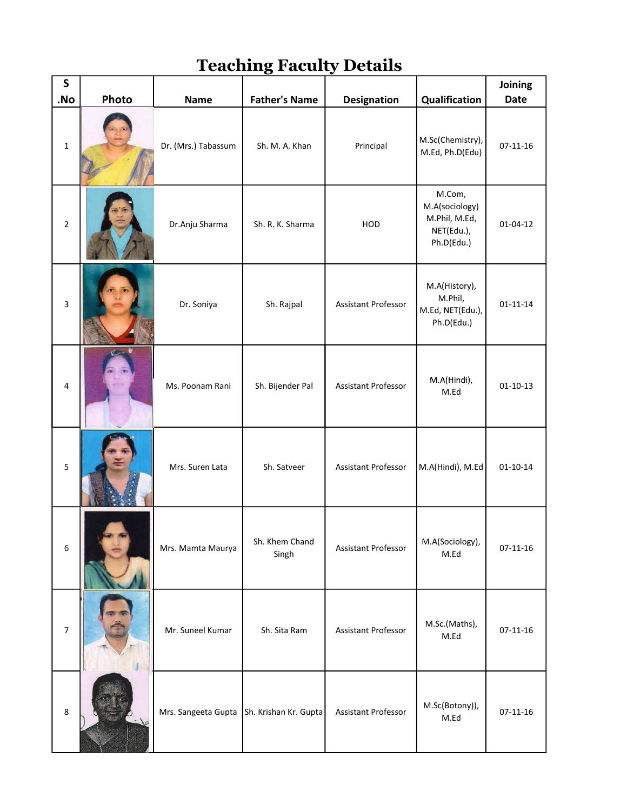## Teaching Faculty Details

| ${\sf S}$<br>.No | Photo | <b>Name</b>                               | <b>Father's Name</b>    | <b>Designation</b>         | Qualification                                                         | Joining<br><b>Date</b> |
|------------------|-------|-------------------------------------------|-------------------------|----------------------------|-----------------------------------------------------------------------|------------------------|
| $\mathbf 1$      |       | Dr. (Mrs.) Tabassum                       | Sh. M. A. Khan          | Principal                  | M.Sc(Chemistry),<br>M.Ed, Ph.D(Edu)                                   | $07 - 11 - 16$         |
| $\mathbf 2$      |       | Dr.Anju Sharma                            | Sh. R. K. Sharma        | HOD                        | M.Com,<br>M.A(sociology)<br>M.Phil, M.Ed,<br>NET(Edu.),<br>Ph.D(Edu.) | $01 - 04 - 12$         |
| $\mathsf 3$      |       | Dr. Soniya                                | Sh. Rajpal              | Assistant Professor        | M.A(History),<br>M.Phil,<br>M.Ed, NET(Edu.),<br>Ph.D(Edu.)            | $01 - 11 - 14$         |
| 4                |       | Ms. Poonam Rani                           | Sh. Bijender Pal        | Assistant Professor        | M.A(Hindi),<br>M.Ed                                                   | $01 - 10 - 13$         |
| 5                |       | Mrs. Suren Lata                           | Sh. Satveer             | Assistant Professor        | M.A(Hindi), M.Ed                                                      | $01 - 10 - 14$         |
| $\boldsymbol{6}$ |       | Mrs. Mamta Maurya                         | Sh. Khem Chand<br>Singh | <b>Assistant Professor</b> | M.A(Sociology),<br>M.Ed                                               | $07 - 11 - 16$         |
| $\boldsymbol{7}$ |       | Mr. Suneel Kumar                          | Sh. Sita Ram            | <b>Assistant Professor</b> | M.Sc.(Maths),<br>$M.Ed$                                               | $07 - 11 - 16$         |
| $\bf 8$          |       | Mrs. Sangeeta Gupta Sh. Krishan Kr. Gupta |                         | Assistant Professor        | M.Sc(Botony)),<br>M.Ed                                                | $07 - 11 - 16$         |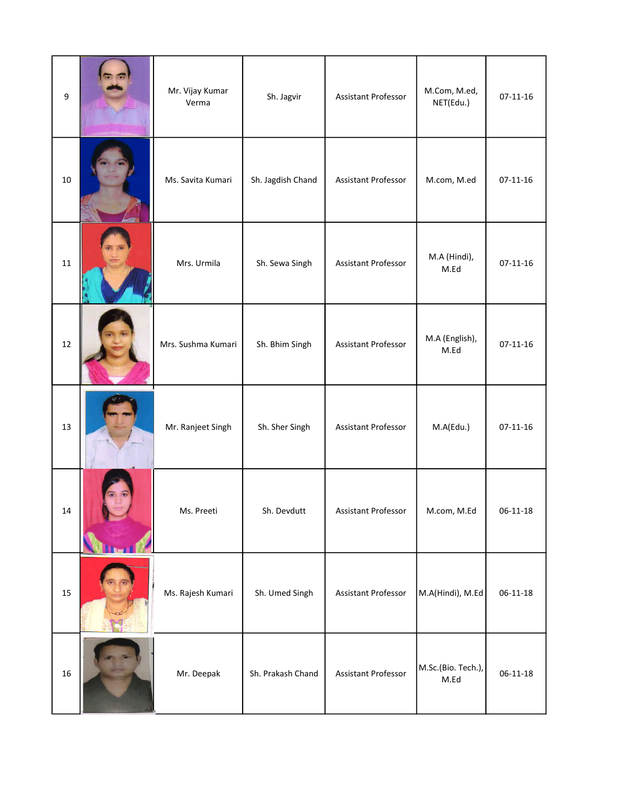| 9      | Mr. Vijay Kumar<br>Verma | Sh. Jagvir        | Assistant Professor        | M.Com, M.ed,<br>NET(Edu.)  | $07 - 11 - 16$ |
|--------|--------------------------|-------------------|----------------------------|----------------------------|----------------|
| 10     | Ms. Savita Kumari        | Sh. Jagdish Chand | Assistant Professor        | M.com, M.ed                | $07-11-16$     |
| $11\,$ | Mrs. Urmila              | Sh. Sewa Singh    | Assistant Professor        | M.A (Hindi),<br>M.Ed       | $07 - 11 - 16$ |
| 12     | Mrs. Sushma Kumari       | Sh. Bhim Singh    | Assistant Professor        | M.A (English),<br>M.Ed     | $07 - 11 - 16$ |
| 13     | Mr. Ranjeet Singh        | Sh. Sher Singh    | <b>Assistant Professor</b> | M.A(Edu.)                  | $07 - 11 - 16$ |
| 14     | Ms. Preeti               | Sh. Devdutt       | Assistant Professor        | M.com, M.Ed                | $06 - 11 - 18$ |
| 15     | Ms. Rajesh Kumari        | Sh. Umed Singh    | <b>Assistant Professor</b> | M.A(Hindi), M.Ed           | $06 - 11 - 18$ |
| 16     | Mr. Deepak               | Sh. Prakash Chand | <b>Assistant Professor</b> | M.Sc.(Bio. Tech.),<br>M.Ed | $06 - 11 - 18$ |